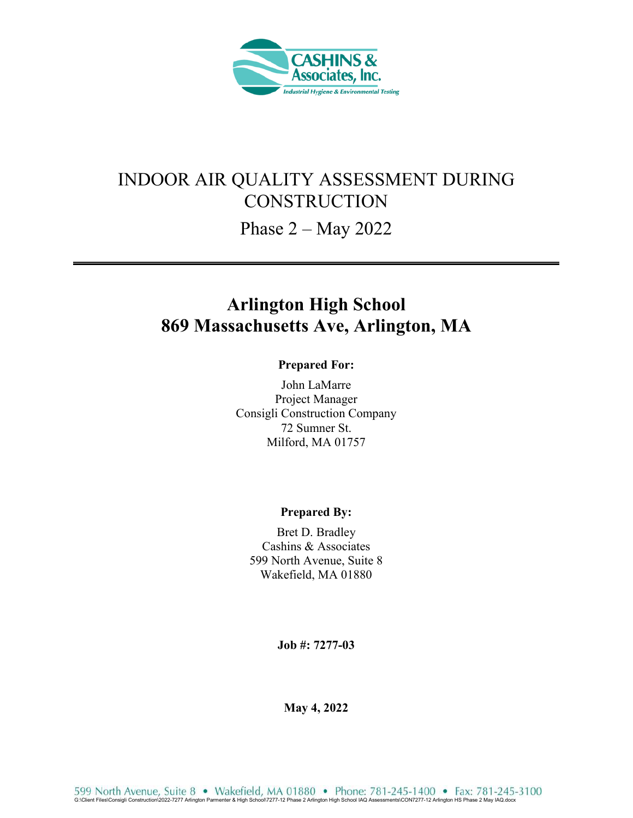

# INDOOR AIR QUALITY ASSESSMENT DURING **CONSTRUCTION**

Phase 2 – May 2022

# **Arlington High School 869 Massachusetts Ave, Arlington, MA**

#### **Prepared For:**

John LaMarre Project Manager Consigli Construction Company 72 Sumner St. Milford, MA 01757

#### **Prepared By:**

Bret D. Bradley Cashins & Associates 599 North Avenue, Suite 8 Wakefield, MA 01880

**Job #: 7277-03** 

**May 4, 2022**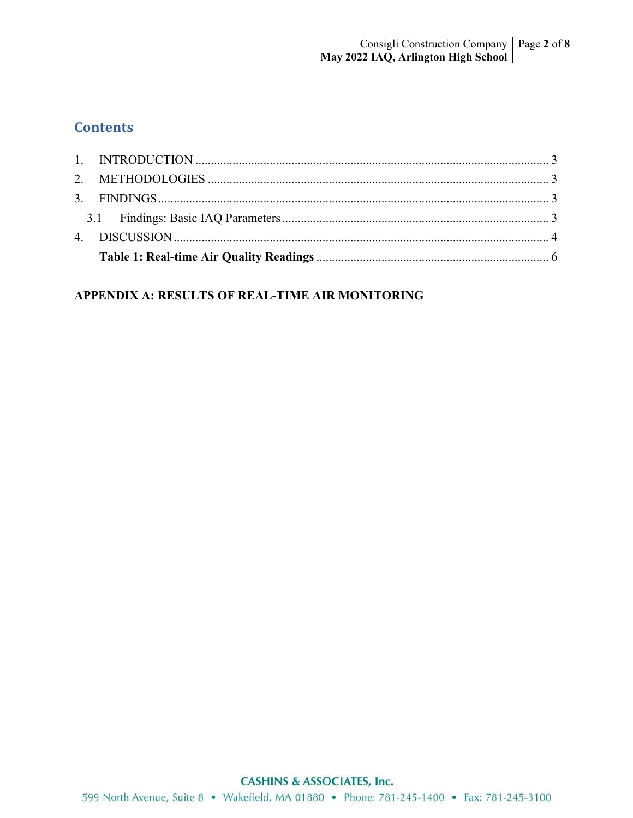# **Contents**

### APPENDIX A: RESULTS OF REAL-TIME AIR MONITORING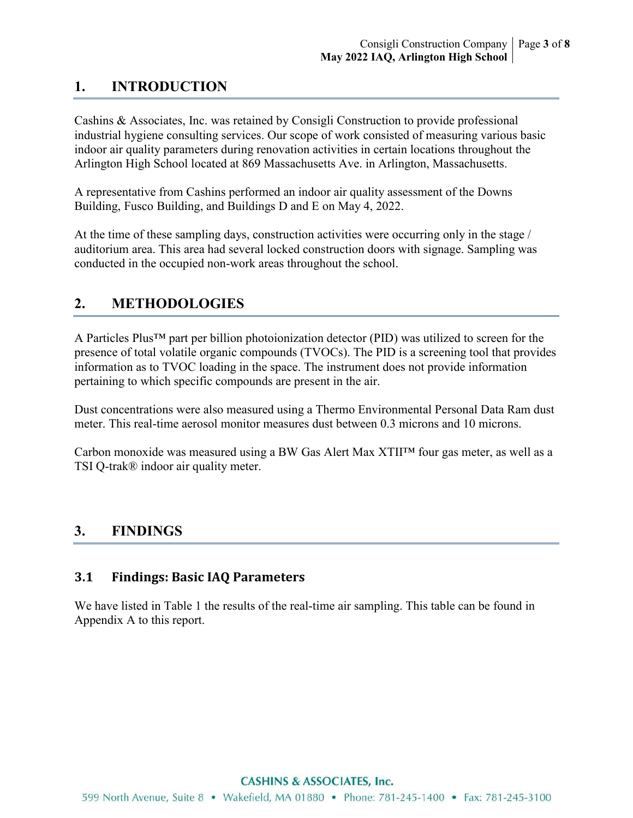## **1. INTRODUCTION**

Cashins & Associates, Inc. was retained by Consigli Construction to provide professional industrial hygiene consulting services. Our scope of work consisted of measuring various basic indoor air quality parameters during renovation activities in certain locations throughout the Arlington High School located at 869 Massachusetts Ave. in Arlington, Massachusetts.

A representative from Cashins performed an indoor air quality assessment of the Downs Building, Fusco Building, and Buildings D and E on May 4, 2022.

At the time of these sampling days, construction activities were occurring only in the stage / auditorium area. This area had several locked construction doors with signage. Sampling was conducted in the occupied non-work areas throughout the school.

## **2. METHODOLOGIES**

A Particles Plus™ part per billion photoionization detector (PID) was utilized to screen for the presence of total volatile organic compounds (TVOCs). The PID is a screening tool that provides information as to TVOC loading in the space. The instrument does not provide information pertaining to which specific compounds are present in the air.

Dust concentrations were also measured using a Thermo Environmental Personal Data Ram dust meter. This real-time aerosol monitor measures dust between 0.3 microns and 10 microns.

Carbon monoxide was measured using a BW Gas Alert Max XTII™ four gas meter, as well as a TSI Q-trak® indoor air quality meter.

## **3. FINDINGS**

### **3.1 Findings: Basic IAQ Parameters**

We have listed in Table 1 the results of the real-time air sampling. This table can be found in Appendix A to this report.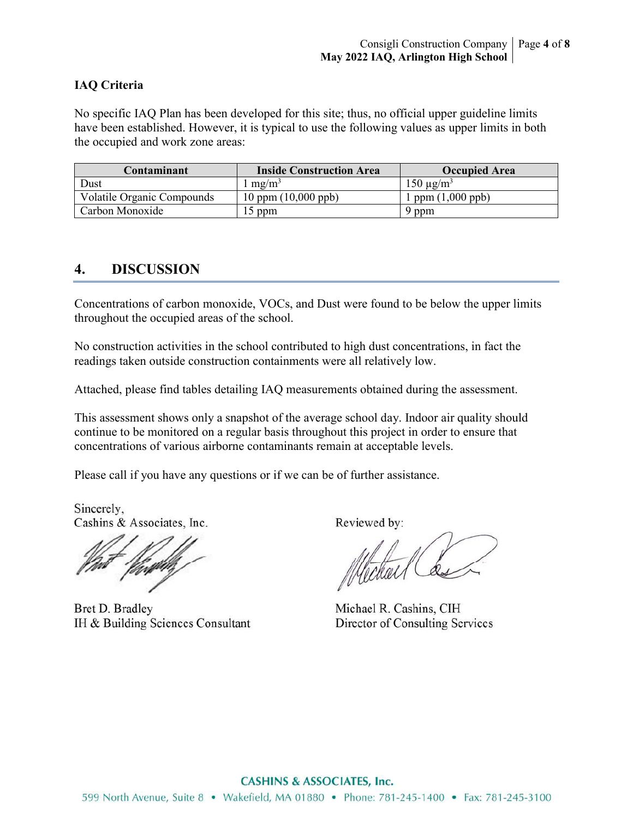#### **IAQ Criteria**

No specific IAQ Plan has been developed for this site; thus, no official upper guideline limits have been established. However, it is typical to use the following values as upper limits in both the occupied and work zone areas:

| Contaminant                       | <b>Inside Construction Area</b> | <b>Occupied Area</b>      |
|-----------------------------------|---------------------------------|---------------------------|
| Dust                              | $m\Omega/m^3$                   | $150 \mu g/m3$            |
| <b>Volatile Organic Compounds</b> | $10$ ppm $(10,000$ ppb)         | ppm $(1,000 \text{ ppb})$ |
| Carbon Monoxide                   | $15$ ppm                        | 9 ppm                     |

### **4. DISCUSSION**

Concentrations of carbon monoxide, VOCs, and Dust were found to be below the upper limits throughout the occupied areas of the school.

No construction activities in the school contributed to high dust concentrations, in fact the readings taken outside construction containments were all relatively low.

Attached, please find tables detailing IAQ measurements obtained during the assessment.

This assessment shows only a snapshot of the average school day. Indoor air quality should continue to be monitored on a regular basis throughout this project in order to ensure that concentrations of various airborne contaminants remain at acceptable levels.

Please call if you have any questions or if we can be of further assistance.

Sincerely, Cashins & Associates, Inc.

Bret D. Bradley IH & Building Sciences Consultant

Reviewed by:

Mechael Co

Michael R. Cashins, CIH Director of Consulting Services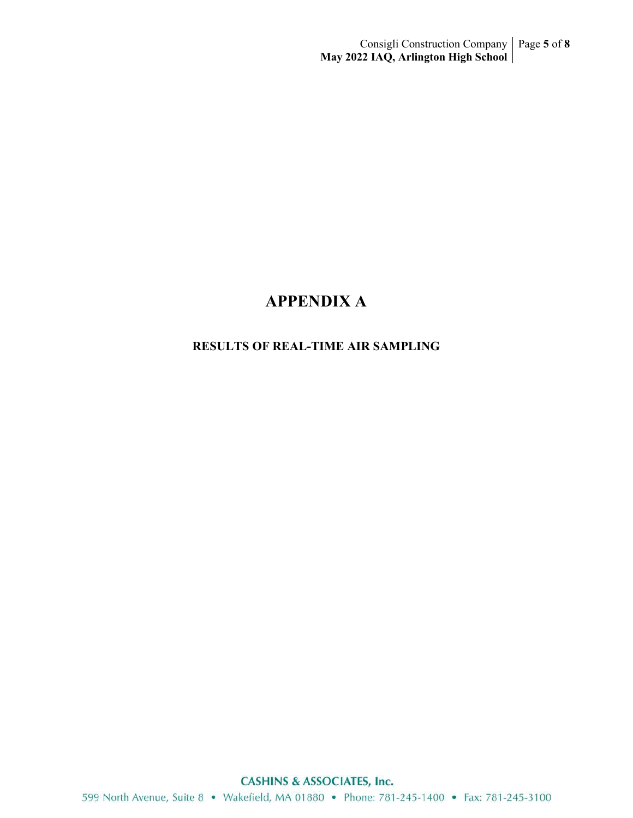# **APPENDIX A**

### **RESULTS OF REAL-TIME AIR SAMPLING**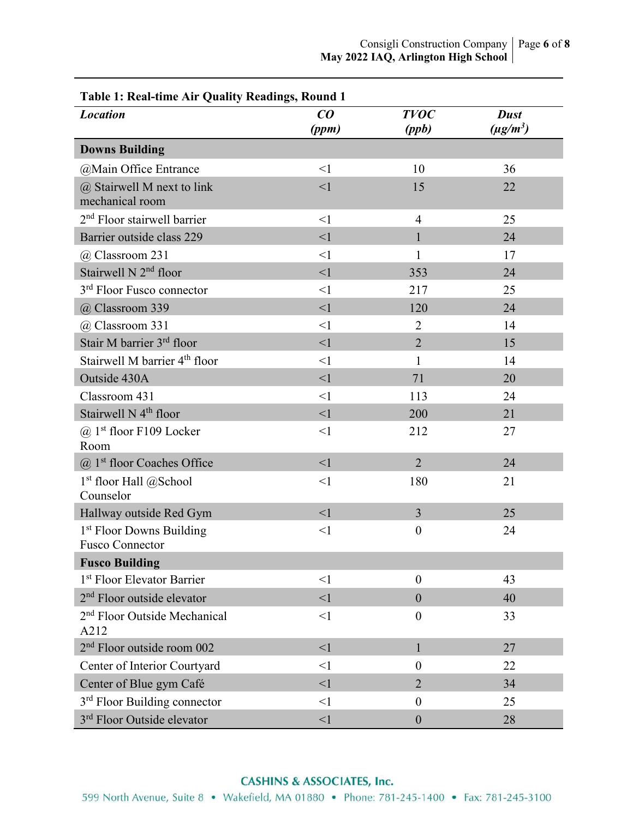| Table 1: Real-time Air Quality Readings, Round 1               |          |                  |               |  |
|----------------------------------------------------------------|----------|------------------|---------------|--|
| <b>Location</b>                                                | CO       | <b>TVOC</b>      | <b>Dust</b>   |  |
|                                                                | (ppm)    | (ppb)            | $(\mu g/m^3)$ |  |
| <b>Downs Building</b>                                          |          |                  |               |  |
| @Main Office Entrance                                          | $\leq$ 1 | 10               | 36            |  |
| $(a)$ Stairwell M next to link<br>mechanical room              | $\leq$ 1 | 15               | 22            |  |
| $2nd$ Floor stairwell barrier                                  | $\leq$ 1 | $\overline{4}$   | 25            |  |
| Barrier outside class 229                                      | $\leq$ 1 | 1                | 24            |  |
| @ Classroom 231                                                | $\leq$ 1 | 1                | 17            |  |
| Stairwell N 2 <sup>nd</sup> floor                              | $\leq$ 1 | 353              | 24            |  |
| 3 <sup>rd</sup> Floor Fusco connector                          | $\leq$ 1 | 217              | 25            |  |
| @ Classroom 339                                                | $\leq$ 1 | 120              | 24            |  |
| @ Classroom 331                                                | $\leq$ 1 | $\overline{2}$   | 14            |  |
| Stair M barrier 3rd floor                                      | $\leq$ 1 | $\overline{2}$   | 15            |  |
| Stairwell M barrier 4 <sup>th</sup> floor                      | $\leq$ 1 | 1                | 14            |  |
| Outside 430A                                                   | <1       | 71               | 20            |  |
| Classroom 431                                                  | $\leq$ 1 | 113              | 24            |  |
| Stairwell N 4 <sup>th</sup> floor                              | $\leq$ 1 | 200              | 21            |  |
| $\omega$ 1 <sup>st</sup> floor F109 Locker<br>Room             | $\leq$ 1 | 212              | 27            |  |
| $(a)$ 1 <sup>st</sup> floor Coaches Office                     | $\leq$ 1 | $\overline{2}$   | 24            |  |
| $1st$ floor Hall @School<br>Counselor                          | $\leq$ 1 | 180              | 21            |  |
| Hallway outside Red Gym                                        | $\leq$ 1 | $\overline{3}$   | 25            |  |
| 1 <sup>st</sup> Floor Downs Building<br><b>Fusco Connector</b> | $\leq$ 1 | $\boldsymbol{0}$ | 24            |  |
| <b>Fusco Building</b>                                          |          |                  |               |  |
| 1 <sup>st</sup> Floor Elevator Barrier                         | $\leq$ 1 | $\boldsymbol{0}$ | 43            |  |
| 2 <sup>nd</sup> Floor outside elevator                         | $\leq$ 1 | $\mathbf{0}$     | 40            |  |
| 2 <sup>nd</sup> Floor Outside Mechanical<br>A212               | $\leq$ 1 | $\overline{0}$   | 33            |  |
| 2 <sup>nd</sup> Floor outside room 002                         | $\leq$ 1 | $\mathbf{1}$     | 27            |  |
| Center of Interior Courtyard                                   | $\leq$ 1 | $\overline{0}$   | 22            |  |
| Center of Blue gym Café                                        | $\leq$ 1 | $\overline{2}$   | 34            |  |
| 3 <sup>rd</sup> Floor Building connector                       | $\leq$ 1 | $\boldsymbol{0}$ | 25            |  |
| 3 <sup>rd</sup> Floor Outside elevator                         | <1       | $\mathbf{0}$     | 28            |  |

#### **CASHINS & ASSOCIATES, Inc.**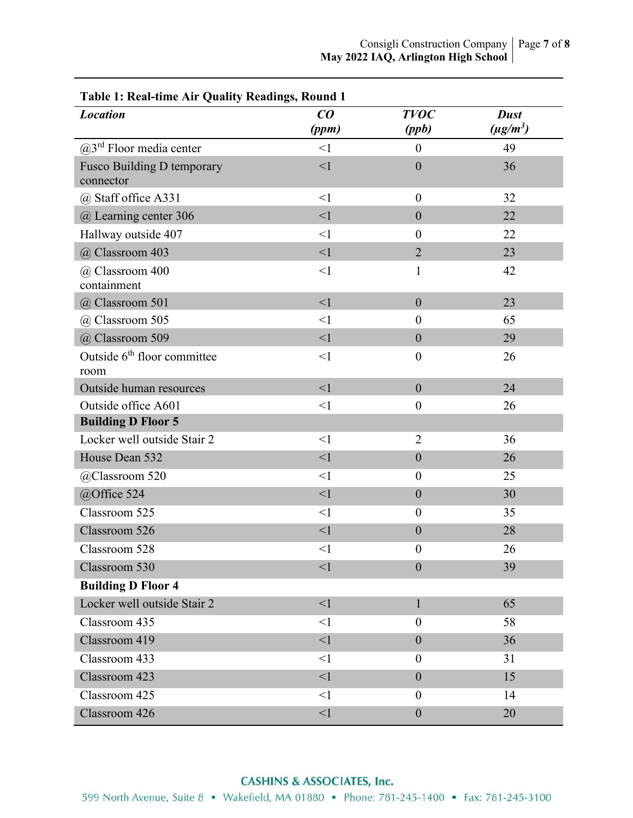| <b>Location</b>                                 | CO       | <b>TVOC</b>      | <b>Dust</b>   |
|-------------------------------------------------|----------|------------------|---------------|
|                                                 | (ppm)    | (ppb)            | $(\mu g/m^3)$ |
| $(a)$ 3 <sup>rd</sup> Floor media center        | $\leq$ 1 | $\mathbf{0}$     | 49            |
| Fusco Building D temporary<br>connector         | $\leq$ 1 | $\mathbf{0}$     | 36            |
| @ Staff office A331                             | $\leq$ 1 | $\overline{0}$   | 32            |
| @ Learning center 306                           | $\leq$ 1 | $\mathbf{0}$     | 22            |
| Hallway outside 407                             | $\leq$ 1 | $\overline{0}$   | 22            |
| @ Classroom 403                                 | <1       | $\overline{2}$   | 23            |
| @ Classroom 400<br>containment                  | $\leq$ 1 | $\mathbf{1}$     | 42            |
| @ Classroom 501                                 | <1       | $\mathbf{0}$     | 23            |
| @ Classroom 505                                 | $\leq$ 1 | $\overline{0}$   | 65            |
| @ Classroom 509                                 | $\leq$ 1 | $\overline{0}$   | 29            |
| Outside 6 <sup>th</sup> floor committee<br>room | $\leq$ 1 | $\boldsymbol{0}$ | 26            |
| Outside human resources                         | $\leq$ 1 | $\overline{0}$   | 24            |
| Outside office A601                             | $\leq$ 1 | $\boldsymbol{0}$ | 26            |
| <b>Building D Floor 5</b>                       |          |                  |               |
| Locker well outside Stair 2                     | $\leq$ 1 | $\overline{2}$   | 36            |
| House Dean 532                                  | <1       | $\mathbf{0}$     | 26            |
| @Classroom 520                                  | $\leq$ 1 | $\boldsymbol{0}$ | 25            |
| @Office 524                                     | $\leq$ 1 | $\mathbf{0}$     | 30            |
| Classroom 525                                   | $\leq$ 1 | $\boldsymbol{0}$ | 35            |
| Classroom 526                                   | $\leq$ 1 | $\mathbf{0}$     | 28            |
| Classroom 528                                   | $\leq$ 1 | $\boldsymbol{0}$ | 26            |
| Classroom 530                                   | <1       | $\mathbf{0}$     | 39            |
| <b>Building D Floor 4</b>                       |          |                  |               |
| Locker well outside Stair 2                     | $\leq$ 1 | $\mathbf{1}$     | 65            |
| Classroom 435                                   | $\leq$ 1 | $\boldsymbol{0}$ | 58            |
| Classroom 419                                   | $\leq$ 1 | $\mathbf{0}$     | 36            |
| Classroom 433                                   | $\leq$ 1 | $\boldsymbol{0}$ | 31            |
| Classroom 423                                   | $\leq$ 1 | $\mathbf{0}$     | 15            |
| Classroom 425                                   | $\leq$ 1 | $\boldsymbol{0}$ | 14            |
| Classroom 426                                   | $<$ l    | $\boldsymbol{0}$ | 20            |

**Table 1: Real-time Air Quality Readings, Round 1**